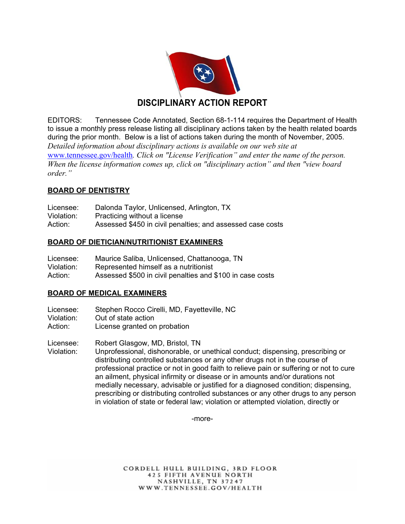

EDITORS: Tennessee Code Annotated, Section 68-1-114 requires the Department of Health to issue a monthly press release listing all disciplinary actions taken by the health related boards during the prior month. Below is a list of actions taken during the month of November, 2005. *Detailed information about disciplinary actions is available on our web site at*  www.tennessee.gov/health*. Click on "License Verification" and enter the name of the person. When the license information comes up, click on "disciplinary action" and then "view board order."* 

# **BOARD OF DENTISTRY**

| Licensee:  | Dalonda Taylor, Unlicensed, Arlington, TX                  |
|------------|------------------------------------------------------------|
| Violation: | Practicing without a license                               |
| Action:    | Assessed \$450 in civil penalties; and assessed case costs |

# **BOARD OF DIETICIAN/NUTRITIONIST EXAMINERS**

| Licensee:  | Maurice Saliba, Unlicensed, Chattanooga, TN               |
|------------|-----------------------------------------------------------|
| Violation: | Represented himself as a nutritionist                     |
| Action:    | Assessed \$500 in civil penalties and \$100 in case costs |

# **BOARD OF MEDICAL EXAMINERS**

Licensee: Stephen Rocco Cirelli, MD, Fayetteville, NC

- Violation: Out of state action
- Action: License granted on probation

Licensee: Robert Glasgow, MD, Bristol, TN

Violation: Unprofessional, dishonorable, or unethical conduct; dispensing, prescribing or distributing controlled substances or any other drugs not in the course of professional practice or not in good faith to relieve pain or suffering or not to cure an ailment, physical infirmity or disease or in amounts and/or durations not medially necessary, advisable or justified for a diagnosed condition; dispensing, prescribing or distributing controlled substances or any other drugs to any person in violation of state or federal law; violation or attempted violation, directly or

-more-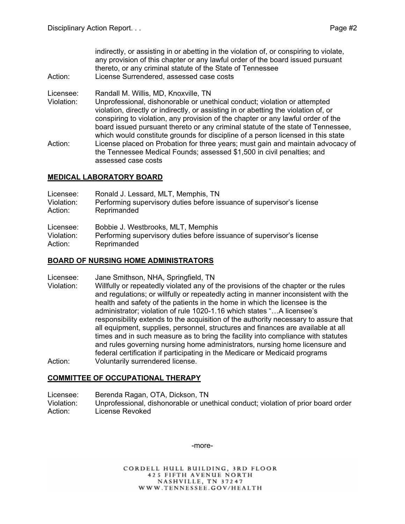indirectly, or assisting in or abetting in the violation of, or conspiring to violate, any provision of this chapter or any lawful order of the board issued pursuant thereto, or any criminal statute of the State of Tennessee

- Action: License Surrendered, assessed case costs
- Licensee: Randall M. Willis, MD, Knoxville, TN

assessed case costs

Violation: Unprofessional, dishonorable or unethical conduct; violation or attempted violation, directly or indirectly, or assisting in or abetting the violation of, or conspiring to violation, any provision of the chapter or any lawful order of the board issued pursuant thereto or any criminal statute of the state of Tennessee, which would constitute grounds for discipline of a person licensed in this state Action: License placed on Probation for three years; must gain and maintain advocacy of the Tennessee Medical Founds; assessed \$1,500 in civil penalties; and

# **MEDICAL LABORATORY BOARD**

| Licensee:  | Ronald J. Lessard, MLT, Memphis, TN                                   |
|------------|-----------------------------------------------------------------------|
| Violation: | Performing supervisory duties before issuance of supervisor's license |
| Action:    | Reprimanded                                                           |

Licensee: Bobbie J. Westbrooks, MLT, Memphis

Violation: Performing supervisory duties before issuance of supervisor's license Action: Reprimanded

#### **BOARD OF NURSING HOME ADMINISTRATORS**

Licensee: Jane Smithson, NHA, Springfield, TN

Violation: Willfully or repeatedly violated any of the provisions of the chapter or the rules and regulations; or willfully or repeatedly acting in manner inconsistent with the health and safety of the patients in the home in which the licensee is the administrator; violation of rule 1020-1.16 which states "…A licensee's responsibility extends to the acquisition of the authority necessary to assure that all equipment, supplies, personnel, structures and finances are available at all times and in such measure as to bring the facility into compliance with statutes and rules governing nursing home administrators, nursing home licensure and federal certification if participating in the Medicare or Medicaid programs Action: Voluntarily surrendered license.

# **COMMITTEE OF OCCUPATIONAL THERAPY**

Licensee: Berenda Ragan, OTA, Dickson, TN Violation: Unprofessional, dishonorable or unethical conduct; violation of prior board order Action: License Revoked

-more-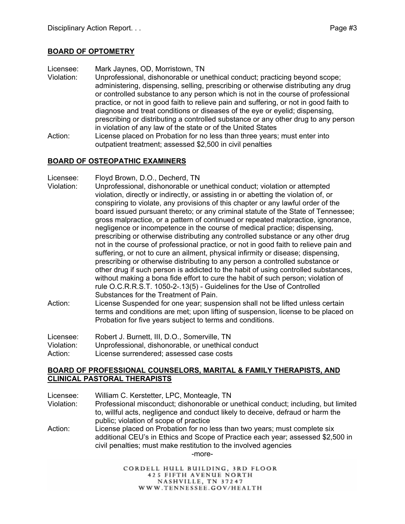# **BOARD OF OPTOMETRY**

Licensee: Mark Jaynes, OD, Morristown, TN

- Violation: Unprofessional, dishonorable or unethical conduct; practicing beyond scope; administering, dispensing, selling, prescribing or otherwise distributing any drug or controlled substance to any person which is not in the course of professional practice, or not in good faith to relieve pain and suffering, or not in good faith to diagnose and treat conditions or diseases of the eye or eyelid; dispensing, prescribing or distributing a controlled substance or any other drug to any person in violation of any law of the state or of the United States
- Action: License placed on Probation for no less than three years; must enter into outpatient treatment; assessed \$2,500 in civil penalties

# **BOARD OF OSTEOPATHIC EXAMINERS**

Licensee: Floyd Brown, D.O., Decherd, TN

- Violation: Unprofessional, dishonorable or unethical conduct; violation or attempted violation, directly or indirectly, or assisting in or abetting the violation of, or conspiring to violate, any provisions of this chapter or any lawful order of the board issued pursuant thereto; or any criminal statute of the State of Tennessee; gross malpractice, or a pattern of continued or repeated malpractice, ignorance, negligence or incompetence in the course of medical practice; dispensing, prescribing or otherwise distributing any controlled substance or any other drug not in the course of professional practice, or not in good faith to relieve pain and suffering, or not to cure an ailment, physical infirmity or disease; dispensing, prescribing or otherwise distributing to any person a controlled substance or other drug if such person is addicted to the habit of using controlled substances, without making a bona fide effort to cure the habit of such person; violation of rule O.C.R.R.S.T. 1050-2-.13(5) - Guidelines for the Use of Controlled Substances for the Treatment of Pain.
- Action: License Suspended for one year; suspension shall not be lifted unless certain terms and conditions are met; upon lifting of suspension, license to be placed on Probation for five years subject to terms and conditions.

Licensee: Robert J. Burnett, III, D.O., Somerville, TN Violation: Unprofessional, dishonorable, or unethical conduct Action: License surrendered; assessed case costs

#### **BOARD OF PROFESSIONAL COUNSELORS, MARITAL & FAMILY THERAPISTS, AND CLINICAL PASTORAL THERAPISTS**

Licensee: William C. Kerstetter, LPC, Monteagle, TN

- Violation: Professional misconduct; dishonorable or unethical conduct; including, but limited to, willful acts, negligence and conduct likely to deceive, defraud or harm the public; violation of scope of practice
- Action: License placed on Probation for no less than two years; must complete six additional CEU's in Ethics and Scope of Practice each year; assessed \$2,500 in civil penalties; must make restitution to the involved agencies -more-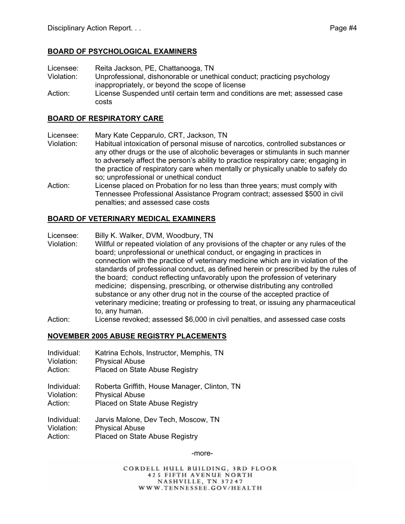# **BOARD OF PSYCHOLOGICAL EXAMINERS**

- Licensee: Reita Jackson, PE, Chattanooga, TN
- Violation: Unprofessional, dishonorable or unethical conduct; practicing psychology inappropriately, or beyond the scope of license
- Action: License Suspended until certain term and conditions are met; assessed case costs

#### **BOARD OF RESPIRATORY CARE**

- Licensee: Mary Kate Cepparulo, CRT, Jackson, TN
- Violation: Habitual intoxication of personal misuse of narcotics, controlled substances or any other drugs or the use of alcoholic beverages or stimulants in such manner to adversely affect the person's ability to practice respiratory care; engaging in the practice of respiratory care when mentally or physically unable to safely do so; unprofessional or unethical conduct
- Action: License placed on Probation for no less than three years; must comply with Tennessee Professional Assistance Program contract; assessed \$500 in civil penalties; and assessed case costs

# **BOARD OF VETERINARY MEDICAL EXAMINERS**

- Licensee: Billy K. Walker, DVM, Woodbury, TN
- Violation: Willful or repeated violation of any provisions of the chapter or any rules of the board; unprofessional or unethical conduct, or engaging in practices in connection with the practice of veterinary medicine which are in violation of the standards of professional conduct, as defined herein or prescribed by the rules of the board; conduct reflecting unfavorably upon the profession of veterinary medicine; dispensing, prescribing, or otherwise distributing any controlled substance or any other drug not in the course of the accepted practice of veterinary medicine; treating or professing to treat, or issuing any pharmaceutical to, any human.
- Action: License revoked; assessed \$6,000 in civil penalties, and assessed case costs

# **NOVEMBER 2005 ABUSE REGISTRY PLACEMENTS**

- Individual: Katrina Echols, Instructor, Memphis, TN
- Violation: Physical Abuse
- Action: Placed on State Abuse Registry
- Individual: Roberta Griffith, House Manager, Clinton, TN Violation: Physical Abuse
- Action: Placed on State Abuse Registry
- Individual: Jarvis Malone, Dev Tech, Moscow, TN Violation: Physical Abuse Action: Placed on State Abuse Registry

-more-